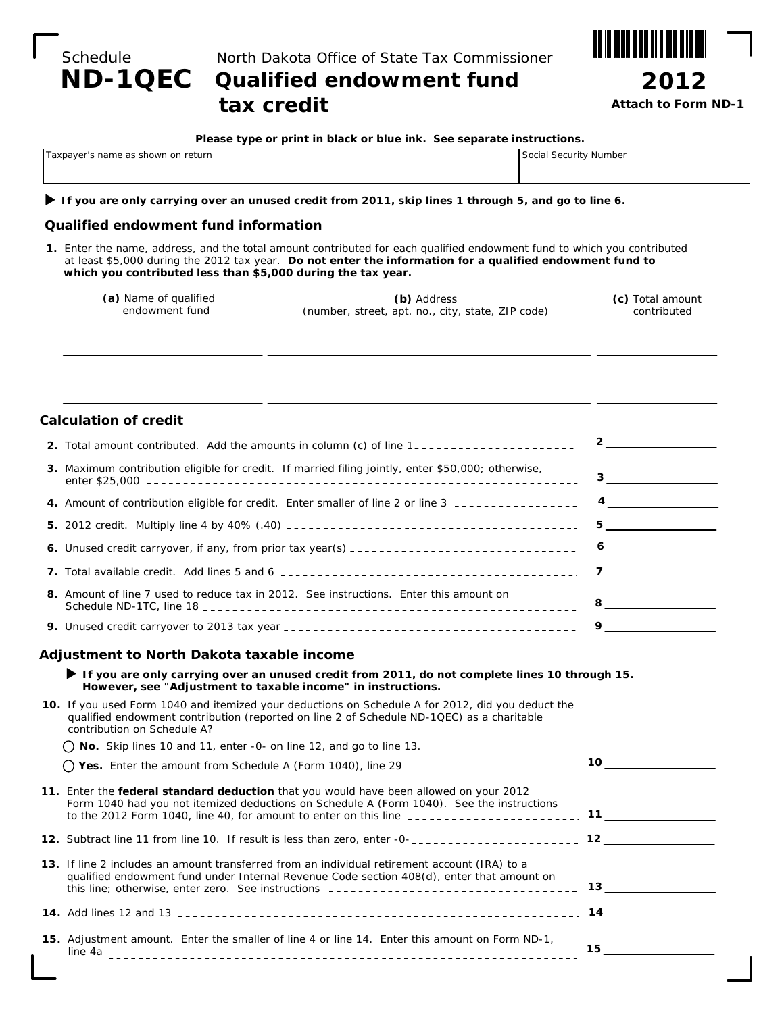|          | ND-1QEC Qualified endowment fund              |
|----------|-----------------------------------------------|
| Schedule | North Dakota Office of State Tax Commissioner |

# **tax credit**



*Attach to Form ND-1*

| Please type or print in black or blue ink. See separate instructions. |  |  |  |
|-----------------------------------------------------------------------|--|--|--|
|-----------------------------------------------------------------------|--|--|--|

| Taxpayer's name as shown on return | Social Security Number |
|------------------------------------|------------------------|
|                                    |                        |

#### **If you are only carrying over an unused credit from 2011, skip lines 1 through 5, and go to line 6.**

### **Qualified endowment fund information**

**1.** Enter the name, address, and the total amount contributed for each qualified endowment fund to which you contributed at least \$5,000 during the 2012 tax year. *Do not enter the information for a qualified endowment fund to which you contributed less than \$5,000 during the tax year.*

| (a) Name of qualified | (b) Address                                       | (c) Total amount |
|-----------------------|---------------------------------------------------|------------------|
| endowment fund        | (number, street, apt. no., city, state, ZIP code) | contributed      |
|                       |                                                   |                  |

| <b>Calculation of credit</b>                                                                              |                      |
|-----------------------------------------------------------------------------------------------------------|----------------------|
| 2. Total amount contributed. Add the amounts in column (c) of line 1--------------------                  | $\frac{2}{\sqrt{2}}$ |
| <b>3.</b> Maximum contribution eligible for credit. If married filing jointly, enter \$50,000; otherwise, |                      |
|                                                                                                           |                      |
|                                                                                                           |                      |
|                                                                                                           |                      |
|                                                                                                           |                      |
| 8. Amount of line 7 used to reduce tax in 2012. See instructions. Enter this amount on                    |                      |
|                                                                                                           | 9                    |

### **Adjustment to North Dakota taxable income**

 **If you are only carrying over an unused credit from 2011, do not complete lines 10 through 15. However, see "Adjustment to taxable income" in instructions.**

| 10. If you used Form 1040 and itemized your deductions on Schedule A for 2012, did you deduct the<br>qualified endowment contribution (reported on line 2 of Schedule ND-1QEC) as a charitable<br>contribution on Schedule A? |      |
|-------------------------------------------------------------------------------------------------------------------------------------------------------------------------------------------------------------------------------|------|
| No. Skip lines 10 and 11, enter -0- on line 12, and go to line 13.                                                                                                                                                            |      |
| Yes. Enter the amount from Schedule A (Form 1040), line 29 ______________________                                                                                                                                             | 10   |
| 11. Enter the federal standard deduction that you would have been allowed on your 2012<br>Form 1040 had you not itemized deductions on Schedule A (Form 1040). See the instructions                                           |      |
| 12. Subtract line 11 from line 10. If result is less than zero, enter -0-<br>12. Subtract line 11 from line 10. If result is less than zero, enter -0-<br>12. Subtract line 11 from line 10.                                  |      |
| 13. If line 2 includes an amount transferred from an individual retirement account (IRA) to a<br>qualified endowment fund under Internal Revenue Code section 408(d), enter that amount on                                    | 13 — |
|                                                                                                                                                                                                                               | 14   |
| <b>15.</b> Adjustment amount. Enter the smaller of line 4 or line 14. Enter this amount on Form ND-1,<br>line 4a                                                                                                              | 15.  |